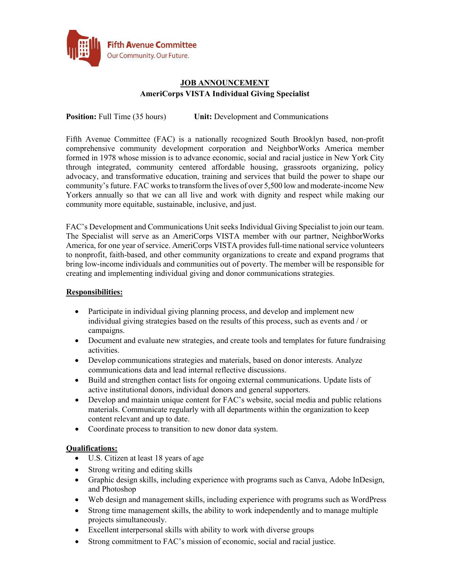

# **JOB ANNOUNCEMENT AmeriCorps VISTA Individual Giving Specialist**

**Position:** Full Time (35 hours) **Unit:** Development and Communications

Fifth Avenue Committee (FAC) is a nationally recognized South Brooklyn based, non-profit comprehensive community development corporation and NeighborWorks America member formed in 1978 whose mission is to advance economic, social and racial justice in New York City through integrated, community centered affordable housing, grassroots organizing, policy advocacy, and transformative education, training and services that build the power to shape our community's future. FAC works to transform the lives of over 5,500 low and moderate-income New Yorkers annually so that we can all live and work with dignity and respect while making our community more equitable, sustainable, inclusive, and just.

FAC's Development and Communications Unit seeks Individual Giving Specialist to join our team. The Specialist will serve as an AmeriCorps VISTA member with our partner, NeighborWorks America, for one year of service. AmeriCorps VISTA provides full-time national service volunteers to nonprofit, faith-based, and other community organizations to create and expand programs that bring low-income individuals and communities out of poverty. The member will be responsible for creating and implementing individual giving and donor communications strategies.

### **Responsibilities:**

- Participate in individual giving planning process, and develop and implement new individual giving strategies based on the results of this process, such as events and / or campaigns.
- Document and evaluate new strategies, and create tools and templates for future fundraising activities.
- Develop communications strategies and materials, based on donor interests. Analyze communications data and lead internal reflective discussions.
- Build and strengthen contact lists for ongoing external communications. Update lists of active institutional donors, individual donors and general supporters.
- Develop and maintain unique content for FAC's website, social media and public relations materials. Communicate regularly with all departments within the organization to keep content relevant and up to date.
- Coordinate process to transition to new donor data system.

#### **Qualifications:**

- U.S. Citizen at least 18 years of age
- Strong writing and editing skills
- Graphic design skills, including experience with programs such as Canva, Adobe InDesign, and Photoshop
- Web design and management skills, including experience with programs such as WordPress
- Strong time management skills, the ability to work independently and to manage multiple projects simultaneously.
- Excellent interpersonal skills with ability to work with diverse groups
- Strong commitment to FAC's mission of economic, social and racial justice.